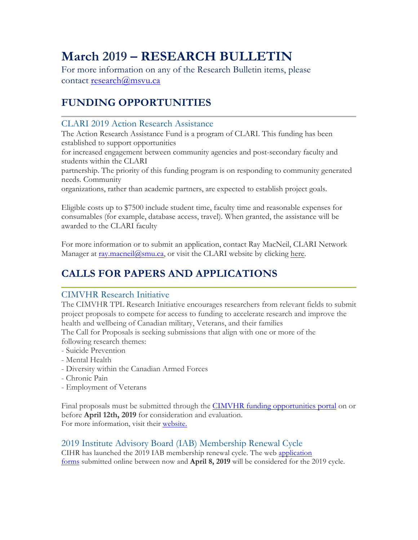# **March 2019 – RESEARCH BULLETIN**

For more information on any of the Research Bulletin items, please contact research@msvu.ca

## **FUNDING OPPORTUNITIES**

### CLARI 2019 Action Research Assistance

The Action Research Assistance Fund is a program of CLARI. This funding has been established to support opportunities

for increased engagement between community agencies and post-secondary faculty and students within the CLARI

partnership. The priority of this funding program is on responding to community generated needs. Community

organizations, rather than academic partners, are expected to establish project goals.

Eligible costs up to \$7500 include student time, faculty time and reasonable expenses for consumables (for example, database access, travel). When granted, the assistance will be awarded to the CLARI faculty

For more information or to submit an application, contact Ray MacNeil, CLARI Network Manager at ray.macneil@smu.ca, or visit the CLARI website by clicking here.

## **CALLS FOR PAPERS AND APPLICATIONS**

### CIMVHR Research Initiative

The CIMVHR TPL Research Initiative encourages researchers from relevant fields to submit project proposals to compete for access to funding to accelerate research and improve the health and wellbeing of Canadian military, Veterans, and their families

The Call for Proposals is seeking submissions that align with one or more of the following research themes:

- Suicide Prevention
- Mental Health
- Diversity within the Canadian Armed Forces
- Chronic Pain
- Employment of Veterans

Final proposals must be submitted through the CIMVHR funding opportunities portal on or before **April 12th, 2019** for consideration and evaluation. For more information, visit their website.

## 2019 Institute Advisory Board (IAB) Membership Renewal Cycle

CIHR has launched the 2019 IAB membership renewal cycle. The web application forms submitted online between now and **April 8, 2019** will be considered for the 2019 cycle.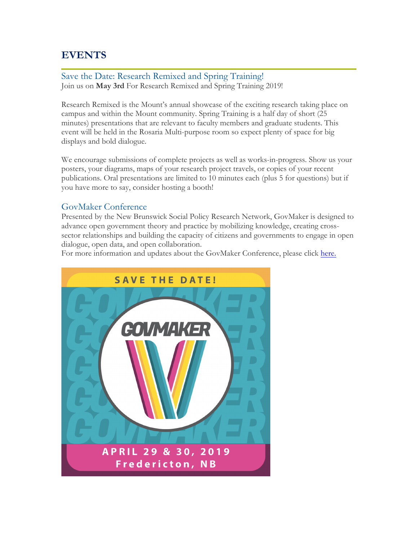## **EVENTS**

Save the Date: Research Remixed and Spring Training! Join us on **May 3rd** For Research Remixed and Spring Training 2019!

Research Remixed is the Mount's annual showcase of the exciting research taking place on campus and within the Mount community. Spring Training is a half day of short (25 minutes) presentations that are relevant to faculty members and graduate students. This event will be held in the Rosaria Multi-purpose room so expect plenty of space for big displays and bold dialogue.

We encourage submissions of complete projects as well as works-in-progress. Show us your posters, your diagrams, maps of your research project travels, or copies of your recent publications. Oral presentations are limited to 10 minutes each (plus 5 for questions) but if you have more to say, consider hosting a booth!

#### GovMaker Conference

Presented by the New Brunswick Social Policy Research Network, GovMaker is designed to advance open government theory and practice by mobilizing knowledge, creating crosssector relationships and building the capacity of citizens and governments to engage in open dialogue, open data, and open collaboration.

For more information and updates about the GovMaker Conference, please click here.